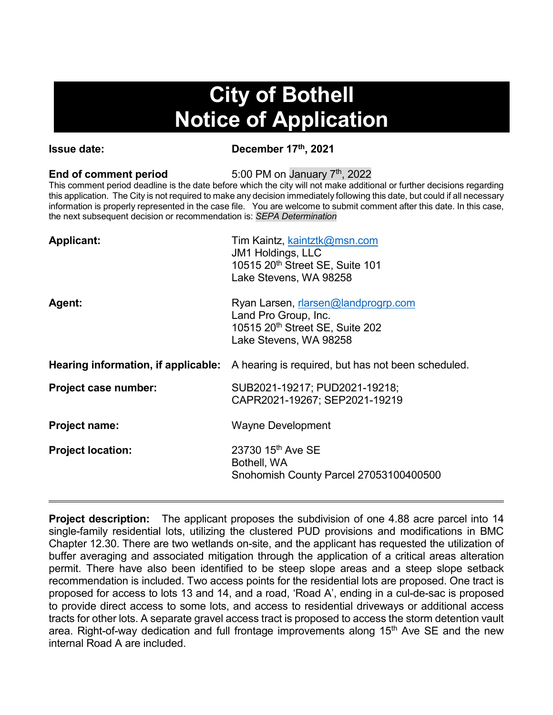# **City of Bothell Notice of Application**

**Issue date:** December 17<sup>th</sup>, 2021

**End of comment period** 5:00 PM on January 7<sup>th</sup>, 2022

This comment period deadline is the date before which the city will not make additional or further decisions regarding this application. The City is not required to make any decision immediately following this date, but could if all necessary information is properly represented in the case file. You are welcome to submit comment after this date. In this case, the next subsequent decision or recommendation is: *SEPA Determination*

| <b>Applicant:</b>                   | Tim Kaintz, kaintztk@msn.com<br>JM1 Holdings, LLC<br>10515 20 <sup>th</sup> Street SE, Suite 101<br>Lake Stevens, WA 98258 |
|-------------------------------------|----------------------------------------------------------------------------------------------------------------------------|
| <b>Agent:</b>                       | Ryan Larsen, rlarsen@landprogrp.com<br>Land Pro Group, Inc.<br>10515 20th Street SE, Suite 202<br>Lake Stevens, WA 98258   |
| Hearing information, if applicable: | A hearing is required, but has not been scheduled.                                                                         |
| Project case number:                | SUB2021-19217; PUD2021-19218;<br>CAPR2021-19267; SEP2021-19219                                                             |
| <b>Project name:</b>                | <b>Wayne Development</b>                                                                                                   |
| <b>Project location:</b>            | 23730 15 <sup>th</sup> Ave SE<br>Bothell, WA<br>Snohomish County Parcel 27053100400500                                     |
|                                     |                                                                                                                            |

**Project description:** The applicant proposes the subdivision of one 4.88 acre parcel into 14 single-family residential lots, utilizing the clustered PUD provisions and modifications in BMC Chapter 12.30. There are two wetlands on-site, and the applicant has requested the utilization of buffer averaging and associated mitigation through the application of a critical areas alteration permit. There have also been identified to be steep slope areas and a steep slope setback recommendation is included. Two access points for the residential lots are proposed. One tract is proposed for access to lots 13 and 14, and a road, 'Road A', ending in a cul-de-sac is proposed to provide direct access to some lots, and access to residential driveways or additional access tracts for other lots. A separate gravel access tract is proposed to access the storm detention vault area. Right-of-way dedication and full frontage improvements along  $15<sup>th</sup>$  Ave SE and the new internal Road A are included.